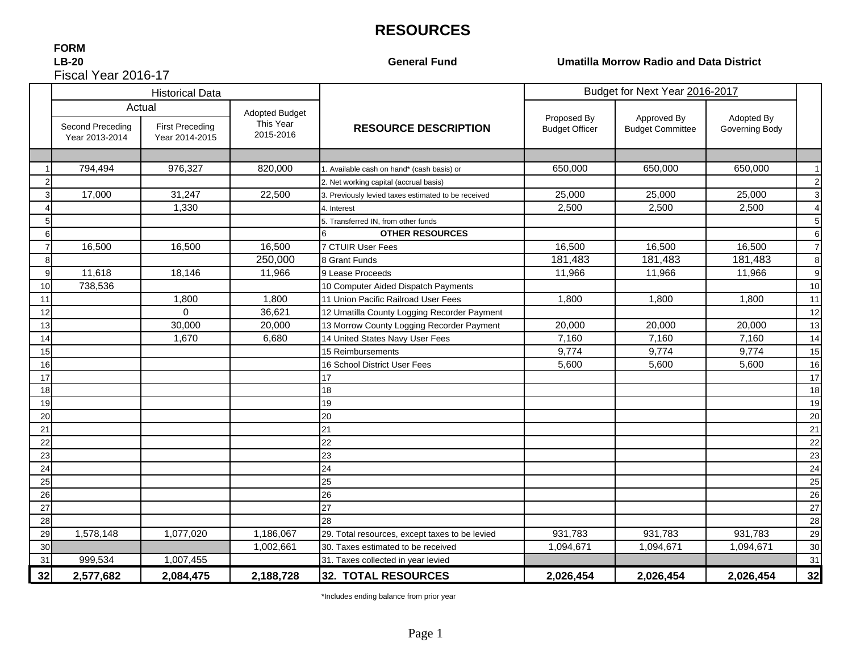# **RESOURCES**

#### Fiscal Year 2016-17**FORM LB-20**

**General Fund**

#### **Umatilla Morrow Radio and Data District**

|    |                                    | <b>Historical Data</b>                             |                                                 |                                                     | Budget for Next Year 2016-2017       |                                        |                              |                |
|----|------------------------------------|----------------------------------------------------|-------------------------------------------------|-----------------------------------------------------|--------------------------------------|----------------------------------------|------------------------------|----------------|
|    | Second Preceding<br>Year 2013-2014 | Actual<br><b>First Preceding</b><br>Year 2014-2015 | <b>Adopted Budget</b><br>This Year<br>2015-2016 | <b>RESOURCE DESCRIPTION</b>                         | Proposed By<br><b>Budget Officer</b> | Approved By<br><b>Budget Committee</b> | Adopted By<br>Governing Body |                |
|    |                                    |                                                    |                                                 |                                                     |                                      |                                        |                              |                |
|    | 794,494                            | 976,327                                            | 820,000                                         | 1. Available cash on hand* (cash basis) or          | 650,000                              | 650,000                                | 650,000                      | $\overline{1}$ |
|    |                                    |                                                    |                                                 | 2. Net working capital (accrual basis)              |                                      |                                        |                              | $\overline{c}$ |
| 3  | 17,000                             | 31,247                                             | 22,500                                          | 3. Previously levied taxes estimated to be received | 25,000                               | 25,000                                 | 25,000                       | 3              |
|    |                                    | 1,330                                              |                                                 | 4. Interest                                         | 2,500                                | 2,500                                  | 2,500                        | $\overline{4}$ |
| 5  |                                    |                                                    |                                                 | 5. Transferred IN, from other funds                 |                                      |                                        |                              | 5              |
| 6  |                                    |                                                    |                                                 | <b>OTHER RESOURCES</b>                              |                                      |                                        |                              | 6              |
|    | 16,500                             | 16,500                                             | 16,500                                          | 7 CTUIR User Fees                                   | 16,500                               | 16,500                                 | 16,500                       | $\overline{7}$ |
| 8  |                                    |                                                    | 250,000                                         | 8 Grant Funds                                       | 181,483                              | 181,483                                | 181,483                      | 8              |
| 9  | 11,618                             | 18,146                                             | 11,966                                          | 9 Lease Proceeds                                    | 11,966                               | 11,966                                 | 11,966                       | 9              |
| 10 | 738,536                            |                                                    |                                                 | 10 Computer Aided Dispatch Payments                 |                                      |                                        |                              | 10             |
| 11 |                                    | 1,800                                              | 1,800                                           | 11 Union Pacific Railroad User Fees                 | 1.800                                | 1,800                                  | 1.800                        | 11             |
| 12 |                                    | $\Omega$                                           | 36.621                                          | 12 Umatilla County Logging Recorder Payment         |                                      |                                        |                              | 12             |
| 13 |                                    | 30,000                                             | 20,000                                          | 13 Morrow County Logging Recorder Payment           | 20,000                               | 20,000                                 | 20,000                       | 13             |
| 14 |                                    | 1,670                                              | 6,680                                           | 14 United States Navy User Fees                     | 7,160                                | 7,160                                  | 7,160                        | 14             |
| 15 |                                    |                                                    |                                                 | 15 Reimbursements                                   | 9,774                                | 9,774                                  | 9,774                        | 15             |
| 16 |                                    |                                                    |                                                 | 16 School District User Fees                        | 5,600                                | 5,600                                  | 5,600                        | 16             |
| 17 |                                    |                                                    |                                                 | 17                                                  |                                      |                                        |                              | 17             |
| 18 |                                    |                                                    |                                                 | 18                                                  |                                      |                                        |                              | 18             |
| 19 |                                    |                                                    |                                                 | 19                                                  |                                      |                                        |                              | 19             |
| 20 |                                    |                                                    |                                                 | 20                                                  |                                      |                                        |                              | 20             |
| 21 |                                    |                                                    |                                                 | 21                                                  |                                      |                                        |                              | 21             |
| 22 |                                    |                                                    |                                                 | 22                                                  |                                      |                                        |                              | 22             |
| 23 |                                    |                                                    |                                                 | 23                                                  |                                      |                                        |                              | 23             |
| 24 |                                    |                                                    |                                                 | 24                                                  |                                      |                                        |                              | 24             |
| 25 |                                    |                                                    |                                                 | 25                                                  |                                      |                                        |                              | 25             |
| 26 |                                    |                                                    |                                                 | 26                                                  |                                      |                                        |                              | 26             |
| 27 |                                    |                                                    |                                                 | 27                                                  |                                      |                                        |                              | 27             |
| 28 |                                    |                                                    |                                                 | 28                                                  |                                      |                                        |                              | 28             |
| 29 | 1,578,148                          | 1,077,020                                          | 1,186,067                                       | 29. Total resources, except taxes to be levied      | 931,783                              | 931,783                                | 931,783                      | 29             |
| 30 |                                    |                                                    | 1,002,661                                       | 30. Taxes estimated to be received                  | 1,094,671                            | 1,094,671                              | 1,094,671                    | 30             |
| 31 | 999,534                            | 1,007,455                                          |                                                 | 31. Taxes collected in year levied                  |                                      |                                        |                              | 31             |
| 32 | 2,577,682                          | 2,084,475                                          | 2,188,728                                       | <b>32. TOTAL RESOURCES</b>                          | 2,026,454                            | 2,026,454                              | 2,026,454                    | 32             |

\*Includes ending balance from prior year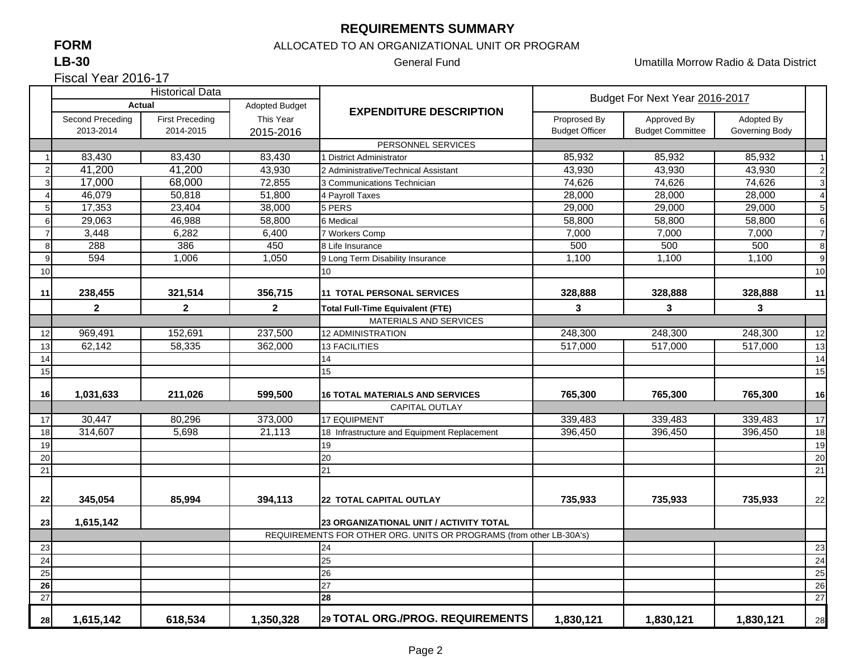#### **REQUIREMENTS SUMMARY**

## **FORM**

**LB-30**

Fiscal Year 2016-17

#### ALLOCATED TO AN ORGANIZATIONAL UNIT OR PROGRAM

General Fund Umatilla Morrow Radio & Data District

|    | <b>Historical Data</b>  |                        |                         |                                                                     | Budget For Next Year 2016-2017 |                         |                |                |
|----|-------------------------|------------------------|-------------------------|---------------------------------------------------------------------|--------------------------------|-------------------------|----------------|----------------|
|    | Actual                  |                        | <b>Adopted Budget</b>   | <b>EXPENDITURE DESCRIPTION</b>                                      |                                |                         |                |                |
|    | Second Preceding        | <b>First Preceding</b> | This Year               |                                                                     | Proprosed By<br>Approved By    |                         | Adopted By     |                |
|    | 2013-2014               | 2014-2015              | 2015-2016               |                                                                     | <b>Budget Officer</b>          | <b>Budget Committee</b> | Governing Body |                |
|    |                         |                        |                         | PERSONNEL SERVICES                                                  |                                |                         |                |                |
|    | 83,430                  | 83,430                 | 83,430                  | <b>I District Administrator</b>                                     | 85,932                         | 85,932                  | 85,932         | $\overline{1}$ |
| 2  | 41,200                  | 41,200                 | 43.930                  | 2 Administrative/Technical Assistant                                | 43.930                         | 43.930                  | 43.930         | $\overline{c}$ |
|    | 17,000                  | 68,000                 | 72,855                  | 3 Communications Technician                                         | 74,626                         | 74,626                  | 74,626         | 3              |
|    | 46,079                  | 50,818                 | 51,800                  | 4 Payroll Taxes                                                     | 28,000                         | 28,000                  | 28,000         | $\overline{4}$ |
|    | 17,353                  | 23,404                 | 38,000                  | 5 PERS                                                              | 29,000                         | 29,000                  | 29,000         | 5              |
| 6  | 29,063                  | 46,988                 | 58,800                  | 6 Medical                                                           | 58,800                         | 58,800                  | 58,800         | 6              |
|    | 3,448                   | 6,282                  | 6,400                   | 7 Workers Comp                                                      | 7,000                          | 7,000                   | 7,000          | $\overline{7}$ |
| 8  | 288                     | 386                    | 450                     | 8 Life Insurance                                                    | 500                            | 500                     | 500            | 8              |
| q  | 594                     | 1,006                  | 1,050                   | 9 Long Term Disability Insurance                                    | 1,100                          | 1,100                   | 1,100          | 9              |
| 10 |                         |                        |                         | 10 <sup>1</sup>                                                     |                                |                         |                | 10             |
|    |                         |                        |                         |                                                                     |                                |                         |                |                |
| 11 | 238,455                 | 321,514                | 356,715                 | <b>11 TOTAL PERSONAL SERVICES</b>                                   | 328,888                        | 328,888                 | 328,888        | 11             |
|    | $\overline{\mathbf{2}}$ | $\mathbf{2}$           | $\overline{\mathbf{2}}$ | <b>Total Full-Time Equivalent (FTE)</b>                             | 3                              | 3                       | 3              |                |
|    |                         |                        |                         | <b>MATERIALS AND SERVICES</b>                                       |                                |                         |                |                |
| 12 | 969,491                 | 152,691                | 237,500                 | <b>12 ADMINISTRATION</b>                                            | 248,300                        | 248,300                 | 248,300        | 12             |
| 13 | 62,142                  | 58,335                 | 362,000                 | <b>13 FACILITIES</b>                                                | 517,000                        | 517,000                 | 517,000        | 13             |
| 14 |                         |                        |                         | 14                                                                  |                                |                         |                | 14             |
| 15 |                         |                        |                         | 15                                                                  |                                |                         |                | 15             |
| 16 | 1,031,633               | 211,026                | 599,500                 | <b>16 TOTAL MATERIALS AND SERVICES</b>                              | 765,300                        | 765,300                 | 765,300        | 16             |
|    |                         |                        |                         | <b>CAPITAL OUTLAY</b>                                               |                                |                         |                |                |
| 17 | 30,447                  | 80,296                 | 373,000                 | <b>17 EQUIPMENT</b>                                                 | 339,483                        | 339,483                 | 339,483        | 17             |
| 18 | 314,607                 | 5.698                  | 21,113                  | 18 Infrastructure and Equipment Replacement                         | 396,450                        | 396,450                 | 396,450        | 18             |
| 19 |                         |                        |                         | 19                                                                  |                                |                         |                | 19             |
| 20 |                         |                        |                         | 20                                                                  |                                |                         |                | 20             |
| 21 |                         |                        |                         | 21                                                                  |                                |                         |                | 21             |
|    |                         |                        |                         |                                                                     |                                |                         |                |                |
| 22 | 345,054                 | 85,994                 | 394,113                 | <b>22 TOTAL CAPITAL OUTLAY</b>                                      | 735,933                        | 735,933                 | 735,933        | 22             |
|    |                         |                        |                         |                                                                     |                                |                         |                |                |
| 23 | 1,615,142               |                        |                         | 23 ORGANIZATIONAL UNIT / ACTIVITY TOTAL                             |                                |                         |                |                |
|    |                         |                        |                         | REQUIREMENTS FOR OTHER ORG. UNITS OR PROGRAMS (from other LB-30A's) |                                |                         |                |                |
| 23 |                         |                        |                         | 24                                                                  |                                |                         |                | 23             |
| 24 |                         |                        |                         | 25                                                                  |                                |                         |                | 24             |
| 25 |                         |                        |                         | 26                                                                  |                                |                         |                | 25             |
| 26 |                         |                        |                         | 27                                                                  |                                |                         |                | 26             |
| 27 |                         |                        |                         | 28                                                                  |                                |                         |                | 27             |
| 28 | 1,615,142               | 618,534                | 1,350,328               | 29 TOTAL ORG./PROG. REQUIREMENTS                                    | 1,830,121                      | 1,830,121               | 1,830,121      | 28             |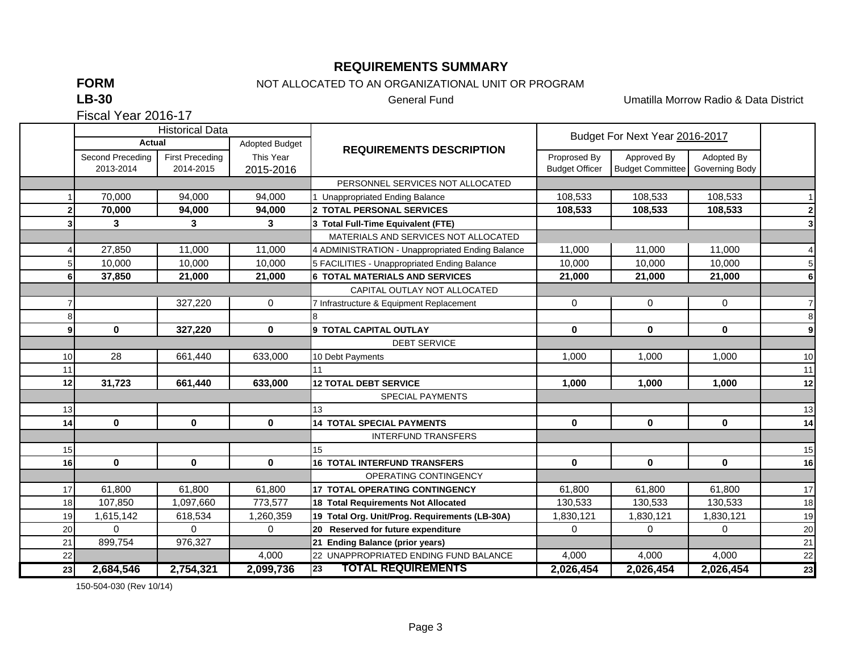#### **REQUIREMENTS SUMMARY**

**FORM**

## NOT ALLOCATED TO AN ORGANIZATIONAL UNIT OR PROGRAM

**LB-30**

General Fund Umatilla Morrow Radio & Data District

Fiscal Year 2016-17

|    |                  | <b>Historical Data</b> |                |                                                  | Budget For Next Year 2016-2017 |                         |                |                |
|----|------------------|------------------------|----------------|--------------------------------------------------|--------------------------------|-------------------------|----------------|----------------|
|    | Actual           |                        | Adopted Budget | <b>REQUIREMENTS DESCRIPTION</b>                  |                                |                         |                |                |
|    | Second Preceding | <b>First Preceding</b> | This Year      |                                                  | Proprosed By                   | Approved By             | Adopted By     |                |
|    | 2013-2014        | 2014-2015              | 2015-2016      |                                                  | <b>Budget Officer</b>          | <b>Budget Committee</b> | Governing Body |                |
|    |                  |                        |                | PERSONNEL SERVICES NOT ALLOCATED                 |                                |                         |                |                |
|    | 70.000           | 94.000                 | 94.000         | 1 Unappropriated Ending Balance                  | 108,533                        | 108,533                 | 108,533        | 11             |
|    | 70,000           | 94,000                 | 94,000         | 2 TOTAL PERSONAL SERVICES                        | 108,533                        | 108.533                 | 108,533        | $\mathbf{2}$   |
|    | 3                | 3                      | 3              | 3 Total Full-Time Equivalent (FTE)               |                                |                         |                | 3 <sup>1</sup> |
|    |                  |                        |                | MATERIALS AND SERVICES NOT ALLOCATED             |                                |                         |                |                |
|    | 27,850           | 11,000                 | 11,000         | 4 ADMINISTRATION - Unappropriated Ending Balance | 11,000                         | 11,000                  | 11,000         | $\overline{4}$ |
|    | 10,000           | 10,000                 | 10,000         | 5 FACILITIES - Unappropriated Ending Balance     | 10,000                         | 10,000                  | 10,000         | 5 <sub>1</sub> |
|    | 37,850           | 21,000                 | 21,000         | <b>6 TOTAL MATERIALS AND SERVICES</b>            | 21,000                         | 21,000                  | 21,000         | 6 <sup>1</sup> |
|    |                  |                        |                | CAPITAL OUTLAY NOT ALLOCATED                     |                                |                         |                |                |
|    |                  | 327,220                | $\mathbf 0$    | 7 Infrastructure & Equipment Replacement         | $\mathbf 0$                    | $\mathbf 0$             | $\mathbf 0$    | $\overline{7}$ |
|    |                  |                        |                | 8                                                |                                |                         |                | $\bf{8}$       |
| a  | $\mathbf 0$      | 327,220                | 0              | 9 TOTAL CAPITAL OUTLAY                           | $\mathbf 0$                    | 0                       | $\mathbf 0$    | 9              |
|    |                  |                        |                | <b>DEBT SERVICE</b>                              |                                |                         |                |                |
| 10 | 28               | 661,440                | 633,000        | 10 Debt Payments                                 | 1,000                          | 1,000                   | 1,000          | 10             |
| 11 |                  |                        |                | 11                                               |                                |                         |                | 11             |
| 12 | 31,723           | 661,440                | 633,000        | <b>12 TOTAL DEBT SERVICE</b>                     | 1,000                          | 1,000                   | 1,000          | 12             |
|    |                  |                        |                | SPECIAL PAYMENTS                                 |                                |                         |                |                |
| 13 |                  |                        |                | 13                                               |                                |                         |                | 13             |
| 14 | $\mathbf{0}$     | $\mathbf 0$            | $\mathbf 0$    | <b>14 TOTAL SPECIAL PAYMENTS</b>                 | $\mathbf 0$                    | $\mathbf 0$             | $\mathbf 0$    | 14             |
|    |                  |                        |                | <b>INTERFUND TRANSFERS</b>                       |                                |                         |                |                |
| 15 |                  |                        |                | 15                                               |                                |                         |                | 15             |
| 16 | $\mathbf 0$      | 0                      | $\mathbf 0$    | <b>16 TOTAL INTERFUND TRANSFERS</b>              | $\mathbf 0$                    | $\mathbf 0$             | $\mathbf 0$    | 16             |
|    |                  |                        |                | OPERATING CONTINGENCY                            |                                |                         |                |                |
| 17 | 61.800           | 61.800                 | 61.800         | <b>17 TOTAL OPERATING CONTINGENCY</b>            | 61,800                         | 61.800                  | 61.800         | 17             |
| 18 | 107,850          | 1,097,660              | 773,577        | <b>18 Total Requirements Not Allocated</b>       | 130,533                        | 130,533                 | 130,533        | 18             |
| 19 | 1,615,142        | 618,534                | 1,260,359      | 19 Total Org. Unit/Prog. Requirements (LB-30A)   | 1,830,121                      | 1,830,121               | 1,830,121      | 19             |
| 20 | $\Omega$         | $\Omega$               | $\Omega$       | 20 Reserved for future expenditure               | $\Omega$                       | $\Omega$                | $\Omega$       | 20             |
| 21 | 899,754          | 976,327                |                | 21 Ending Balance (prior years)                  |                                |                         |                | 21             |
| 22 |                  |                        | 4,000          | 22 UNAPPROPRIATED ENDING FUND BALANCE            | 4,000                          | 4,000                   | 4,000          | 22             |
| 23 | 2,684,546        | 2,754,321              | 2,099,736      | <b>TOTAL REQUIREMENTS</b><br>23                  | 2,026,454                      | 2,026,454               | 2,026,454      | 23             |

150-504-030 (Rev 10/14)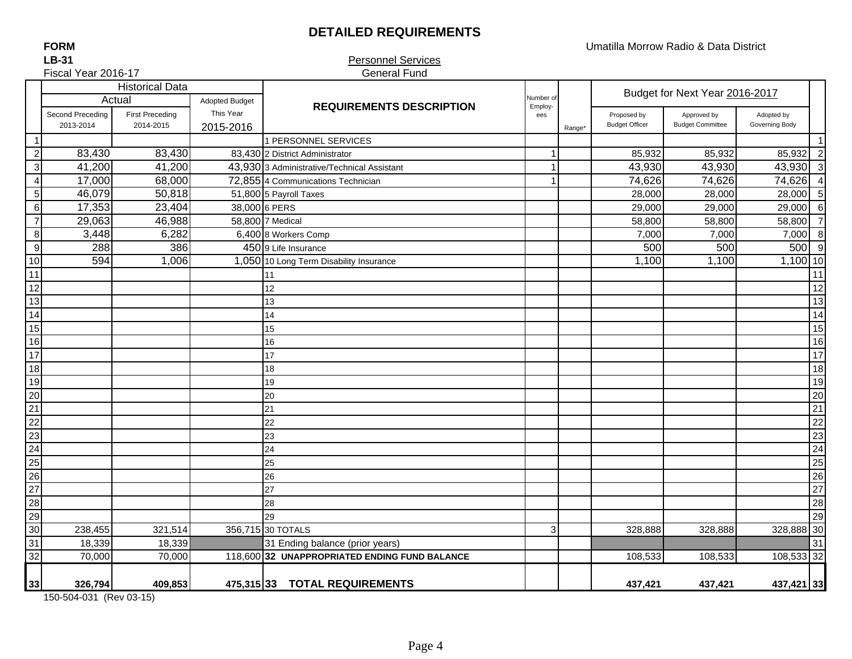## **DETAILED REQUIREMENTS**

Umatilla Morrow Radio & Data District

**LB-31FORM**

#### Personnel Services General Fund

| Fiscal Year 2016-17                |                  |                                  |                                    | <b>General Fund</b>                           |                |                    |                                |                         |                |                         |
|------------------------------------|------------------|----------------------------------|------------------------------------|-----------------------------------------------|----------------|--------------------|--------------------------------|-------------------------|----------------|-------------------------|
|                                    |                  | <b>Historical Data</b><br>Actual |                                    |                                               | Number of      |                    | Budget for Next Year 2016-2017 |                         |                |                         |
|                                    | Second Preceding | <b>First Preceding</b>           | <b>Adopted Budget</b><br>This Year | <b>REQUIREMENTS DESCRIPTION</b>               | Employ-<br>ees |                    | Proposed by                    | Approved by             | Adopted by     |                         |
|                                    | 2013-2014        | 2014-2015                        | 2015-2016                          |                                               |                | Range <sup>®</sup> | <b>Budget Officer</b>          | <b>Budget Committee</b> | Governing Body |                         |
| 1                                  |                  |                                  |                                    | 1 PERSONNEL SERVICES                          |                |                    |                                |                         |                | $\overline{1}$          |
| $\overline{c}$                     | 83,430           | 83,430                           |                                    | 83,430 2 District Administrator               |                |                    | 85,932                         | 85,932                  | 85,932         | $\overline{2}$          |
| $\ensuremath{\mathsf{3}}$          | 41,200           | 41,200                           |                                    | 43,930 3 Administrative/Technical Assistant   |                |                    | 43,930                         | 43,930                  | 43,930         | $\overline{\mathbf{3}}$ |
| $\overline{4}$                     | 17,000           | 68,000                           |                                    | 72,855 4 Communications Technician            |                |                    | 74,626                         | 74,626                  | 74,626         | $\overline{4}$          |
| $\sqrt{5}$                         | 46,079           | 50,818                           |                                    | 51,800 5 Payroll Taxes                        |                |                    | 28,000                         | 28,000                  | 28,000         | 5                       |
| $\,6\,$                            | 17,353           | 23,404                           |                                    | 38,000 6 PERS                                 |                |                    | 29,000                         | 29,000                  | 29,000         | 6                       |
| $\overline{7}$                     | 29,063           | 46,988                           |                                    | 58,800 7 Medical                              |                |                    | 58,800                         | 58,800                  | 58,800         | $\overline{7}$          |
| $\, 8$                             | 3,448            | 6,282                            |                                    | 6,400 8 Workers Comp                          |                |                    | 7,000                          | 7,000                   | 7,000          | 8                       |
| $\overline{9}$                     | 288              | 386                              |                                    | 450 9 Life Insurance                          |                |                    | 500                            | 500                     | 500            | 9                       |
| 10                                 | 594              | 1,006                            |                                    | 1,050 10 Long Term Disability Insurance       |                |                    | 1,100                          | 1,100                   | 1,100 10       |                         |
| 11                                 |                  |                                  |                                    | 11                                            |                |                    |                                |                         |                | 11                      |
| 12                                 |                  |                                  |                                    | 12                                            |                |                    |                                |                         |                | 12                      |
| 13                                 |                  |                                  |                                    | 13                                            |                |                    |                                |                         |                | 13                      |
| 14                                 |                  |                                  |                                    | 14                                            |                |                    |                                |                         |                | 14                      |
| 15                                 |                  |                                  |                                    | 15                                            |                |                    |                                |                         |                | 15                      |
| 16                                 |                  |                                  |                                    | 16                                            |                |                    |                                |                         |                | 16                      |
| 17                                 |                  |                                  |                                    | 17                                            |                |                    |                                |                         |                | 17                      |
| 18                                 |                  |                                  |                                    | 18                                            |                |                    |                                |                         |                | 18                      |
| 19                                 |                  |                                  |                                    | 19                                            |                |                    |                                |                         |                | 19                      |
| 20                                 |                  |                                  |                                    | 20                                            |                |                    |                                |                         |                | 20                      |
| $\frac{21}{22}$                    |                  |                                  |                                    | 21                                            |                |                    |                                |                         |                | 21                      |
|                                    |                  |                                  |                                    | 22                                            |                |                    |                                |                         |                | 22                      |
| 23                                 |                  |                                  |                                    | 23                                            |                |                    |                                |                         |                | 23                      |
| 24                                 |                  |                                  |                                    | 24                                            |                |                    |                                |                         |                | 24                      |
|                                    |                  |                                  |                                    | 25                                            |                |                    |                                |                         |                | 25                      |
| $\frac{25}{26}$<br>$\frac{26}{27}$ |                  |                                  |                                    | 26                                            |                |                    |                                |                         |                | 26                      |
|                                    |                  |                                  |                                    | 27                                            |                |                    |                                |                         |                | 27                      |
| 28                                 |                  |                                  |                                    | 28                                            |                |                    |                                |                         |                | 28                      |
| 29                                 |                  |                                  |                                    | 29                                            |                |                    |                                |                         |                | 29                      |
| 30                                 | 238,455          | 321,514                          |                                    | 356,715 30 TOTALS                             | 3              |                    | 328,888                        | 328,888                 | 328,888 30     |                         |
| 31                                 | 18,339           | 18,339                           |                                    | 31 Ending balance (prior years)               |                |                    |                                |                         |                | 31                      |
| 32                                 | 70,000           | 70,000                           |                                    | 118,600 32 UNAPPROPRIATED ENDING FUND BALANCE |                |                    | 108,533                        | 108,533                 | 108,533 32     |                         |
|                                    |                  |                                  |                                    |                                               |                |                    |                                |                         |                |                         |
| 33                                 | 326,794          | 409,853                          |                                    | 475,315 33 TOTAL REQUIREMENTS                 |                |                    | 437,421                        | 437,421                 | 437,421 33     |                         |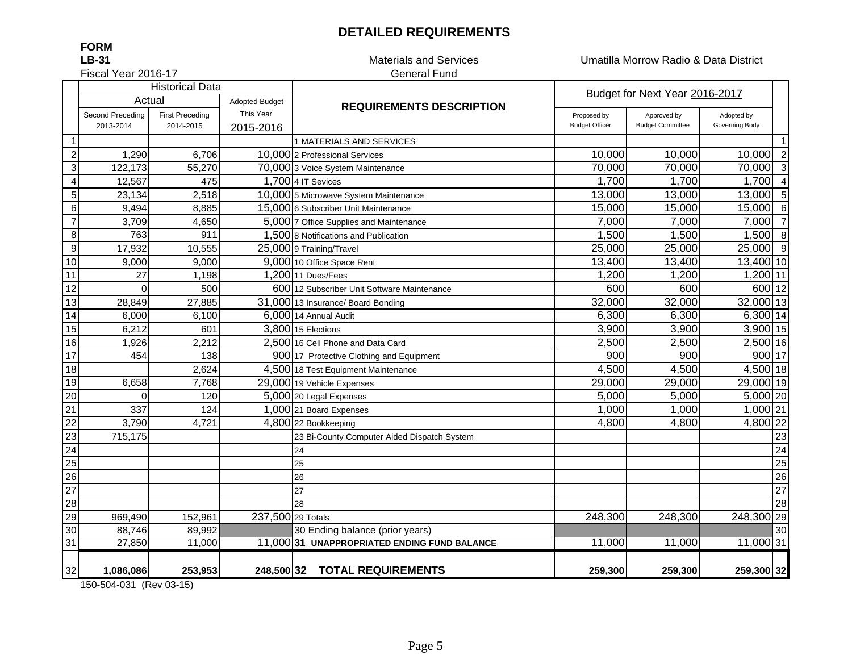## **DETAILED REQUIREMENTS**

Materials and Services Umatilla Morrow Radio & Data District

Fiscal Year 2016-17

**LB-31**

**FORM**

# General Fund

|                  |                            | <b>Historical Data</b> |                                    |                                              |                       | Budget for Next Year 2016-2017 |                |                 |
|------------------|----------------------------|------------------------|------------------------------------|----------------------------------------------|-----------------------|--------------------------------|----------------|-----------------|
|                  | Actual<br>Second Preceding | <b>First Preceding</b> | <b>Adopted Budget</b><br>This Year | <b>REQUIREMENTS DESCRIPTION</b>              | Proposed by           | Approved by                    | Adopted by     |                 |
|                  | 2013-2014                  | 2014-2015              | 2015-2016                          |                                              | <b>Budget Officer</b> | <b>Budget Committee</b>        | Governing Body |                 |
|                  |                            |                        |                                    | 1 MATERIALS AND SERVICES                     |                       |                                |                | $\vert$ 1       |
| $\overline{2}$   | 1,290                      | 6,706                  |                                    | 10,000 2 Professional Services               | 10,000                | 10,000                         | 10,000         | $\overline{c}$  |
| 3                | 122,173                    | 55,270                 |                                    | 70,000 3 Voice System Maintenance            | 70,000                | 70,000                         | 70,000         | سا              |
| $\overline{4}$   | 12,567                     | 475                    |                                    | 1,700 4 IT Sevices                           | 1,700                 | 1,700                          | 1,700          | $\overline{4}$  |
| $\overline{5}$   | 23,134                     | 2,518                  |                                    | 10,000 5 Microwave System Maintenance        | 13,000                | 13,000                         | 13,000         | $5\overline{)}$ |
| $\,6\,$          | 9,494                      | 8,885                  |                                    | 15,000 6 Subscriber Unit Maintenance         | 15,000                | 15,000                         | 15,000         | 6               |
| $\overline{7}$   | 3,709                      | 4,650                  |                                    | 5,000 7 Office Supplies and Maintenance      | 7,000                 | 7,000                          | 7,000          | $\overline{7}$  |
| $\overline{8}$   | 763                        | 911                    |                                    | 1,500 8 Notifications and Publication        | 1,500                 | 1,500                          | 1,500          | 8               |
| $\boldsymbol{9}$ | 17,932                     | 10,555                 |                                    | 25,000 9 Training/Travel                     | 25,000                | 25,000                         | 25,000 9       |                 |
| 10               | 9,000                      | 9,000                  |                                    | 9,000 10 Office Space Rent                   | 13,400                | 13,400                         | 13,400 10      |                 |
| 11               | 27                         | 1,198                  |                                    | 1,200 11 Dues/Fees                           | 1,200                 | 1,200                          | $1,200$ 11     |                 |
| 12               | $\Omega$                   | 500                    |                                    | 600 12 Subscriber Unit Software Maintenance  | 600                   | 600                            | 600 12         |                 |
| 13               | 28,849                     | 27,885                 |                                    | 31,000 13 Insurance/ Board Bonding           | 32,000                | 32,000                         | $32,000$ 13    |                 |
| 14               | 6,000                      | 6,100                  |                                    | 6,000 14 Annual Audit                        | 6,300                 | 6,300                          | 6,300 14       |                 |
| 15               | 6,212                      | 601                    |                                    | 3,800 15 Elections                           | 3,900                 | 3,900                          | $3,900$ 15     |                 |
| 16               | 1,926                      | 2,212                  |                                    | 2,500 16 Cell Phone and Data Card            | 2,500                 | 2,500                          | 2,500 16       |                 |
| 17               | 454                        | 138                    |                                    | 900 17 Protective Clothing and Equipment     | 900                   | 900                            | 900 17         |                 |
| $\overline{18}$  |                            | 2,624                  |                                    | 4,500 18 Test Equipment Maintenance          | 4,500                 | 4,500                          | 4,500 18       |                 |
| 19               | 6,658                      | 7,768                  |                                    | 29,000 19 Vehicle Expenses                   | 29,000                | 29,000                         | 29,000 19      |                 |
| $\overline{20}$  | $\Omega$                   | 120                    |                                    | 5,000 20 Legal Expenses                      | 5,000                 | 5,000                          | $5,000$ 20     |                 |
| $\overline{21}$  | 337                        | 124                    |                                    | 1,000 21 Board Expenses                      | 1,000                 | 1,000                          | 1,000 21       |                 |
| $\overline{22}$  | 3,790                      | 4,721                  |                                    | 4,800 22 Bookkeeping                         | 4,800                 | 4,800                          | 4,800 22       |                 |
| $\overline{23}$  | 715,175                    |                        |                                    | 23 Bi-County Computer Aided Dispatch System  |                       |                                |                | 23              |
| 24               |                            |                        |                                    | 24                                           |                       |                                |                | 24              |
| 25               |                            |                        |                                    | 25                                           |                       |                                |                | 25              |
| $\overline{26}$  |                            |                        |                                    | 26                                           |                       |                                |                | 26              |
| $\overline{27}$  |                            |                        |                                    | 27                                           |                       |                                |                | $\overline{27}$ |
| $\overline{28}$  |                            |                        |                                    | 28                                           |                       |                                |                | 28              |
| 29               | 969,490                    | 152,961                | 237,500 29 Totals                  |                                              | 248,300               | 248,300                        | 248,300 29     |                 |
| 30               | 88,746                     | 89,992                 |                                    | 30 Ending balance (prior years)              |                       |                                |                | 30              |
| 31               | 27,850                     | 11,000                 |                                    | 11,000 31 UNAPPROPRIATED ENDING FUND BALANCE | 11,000                | 11,000                         | 11,000 31      |                 |
| 32               | 1,086,086                  | 253,953                |                                    | 248,500 32 TOTAL REQUIREMENTS                | 259,300               | 259,300                        | 259,300 32     |                 |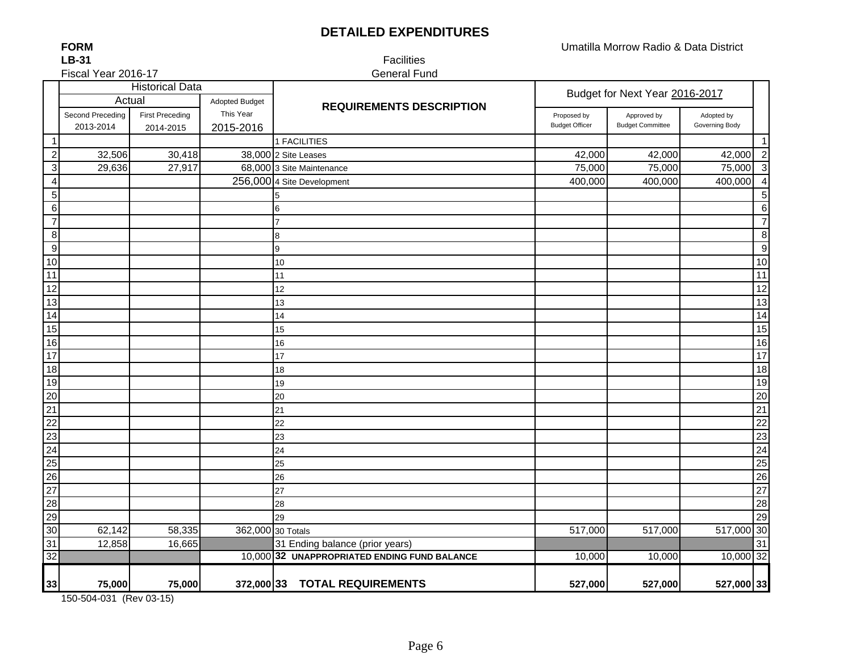## **DETAILED EXPENDITURES**

**LB-31FORM**

Fiscal Year 2016-17

 Facilities General Fund

|                           | <b>Historical Data</b> |                        |                   |                                              | Budget for Next Year 2016-2017 |                         |                |                         |
|---------------------------|------------------------|------------------------|-------------------|----------------------------------------------|--------------------------------|-------------------------|----------------|-------------------------|
|                           | Actual                 |                        | Adopted Budget    | <b>REQUIREMENTS DESCRIPTION</b>              |                                |                         |                |                         |
|                           | Second Preceding       | <b>First Preceding</b> | This Year         |                                              | Proposed by                    | Approved by             | Adopted by     |                         |
|                           | 2013-2014              | 2014-2015              | 2015-2016         |                                              | <b>Budget Officer</b>          | <b>Budget Committee</b> | Governing Body |                         |
| $\mathbf 1$               |                        |                        |                   | 1 FACILITIES                                 |                                |                         |                | $\mathbf{1}$            |
| $\overline{2}$            | 32,506                 | 30,418                 |                   | 38,000 2 Site Leases                         | 42,000                         | 42,000                  | 42,000         | $\overline{2}$          |
| $\ensuremath{\mathsf{3}}$ | 29,636                 | 27,917                 |                   | 68,000 3 Site Maintenance                    | 75,000                         | 75,000                  | 75,000         | $\overline{\mathbf{3}}$ |
| $\overline{4}$            |                        |                        |                   | 256,000 4 Site Development                   | 400,000                        | 400,000                 | 400,000        | $\overline{4}$          |
| 5                         |                        |                        |                   | 5                                            |                                |                         |                | $\overline{5}$          |
| 6                         |                        |                        |                   | 6                                            |                                |                         |                | $\,6$                   |
| $\overline{7}$            |                        |                        |                   | 7                                            |                                |                         |                | $\overline{7}$          |
| 8                         |                        |                        |                   | 8                                            |                                |                         |                | $\bf 8$                 |
| $\boldsymbol{9}$          |                        |                        |                   | 9                                            |                                |                         |                | $\boldsymbol{9}$        |
| 10                        |                        |                        |                   | 10                                           |                                |                         |                | $10$                    |
| 11                        |                        |                        |                   | 11                                           |                                |                         |                | 11                      |
| 12                        |                        |                        |                   | 12                                           |                                |                         |                | $\overline{12}$         |
| 13                        |                        |                        |                   | 13                                           |                                |                         |                | $\overline{13}$         |
| $\overline{14}$           |                        |                        |                   | 14                                           |                                |                         |                | $\overline{14}$         |
| 15                        |                        |                        |                   | 15                                           |                                |                         |                | 15                      |
| 16                        |                        |                        |                   | 16                                           |                                |                         |                | 16                      |
| $\overline{17}$           |                        |                        |                   | 17                                           |                                |                         |                | $\overline{17}$         |
| $\overline{18}$           |                        |                        |                   | 18                                           |                                |                         |                | 18                      |
| 19                        |                        |                        |                   | 19                                           |                                |                         |                | 19                      |
| 20                        |                        |                        |                   | 20                                           |                                |                         |                | 20                      |
| 21                        |                        |                        |                   | 21                                           |                                |                         |                | $\overline{21}$         |
| 22                        |                        |                        |                   | 22                                           |                                |                         |                | $\overline{22}$         |
| $\overline{23}$           |                        |                        |                   | 23                                           |                                |                         |                | 23                      |
| 24                        |                        |                        |                   | 24                                           |                                |                         |                | $\overline{24}$         |
| $\overline{25}$           |                        |                        |                   | 25                                           |                                |                         |                | $\overline{25}$         |
| $\overline{26}$           |                        |                        |                   | 26                                           |                                |                         |                | $\overline{26}$         |
| $\overline{27}$           |                        |                        |                   | 27                                           |                                |                         |                | $\overline{27}$         |
| $\overline{28}$           |                        |                        |                   | 28                                           |                                |                         |                | $\overline{28}$         |
| 29                        |                        |                        |                   | 29                                           |                                |                         |                | 29                      |
| 30                        | 62,142                 | 58,335                 | 362,000 30 Totals |                                              | 517,000                        | 517,000                 | 517,000 30     |                         |
| 31                        | 12,858                 | 16,665                 |                   | 31 Ending balance (prior years)              |                                |                         |                | 31                      |
| 32                        |                        |                        |                   | 10,000 32 UNAPPROPRIATED ENDING FUND BALANCE | 10,000                         | 10,000                  | 10,000 32      |                         |
| 33                        | 75,000                 | 75,000                 | 372,000 33        | <b>TOTAL REQUIREMENTS</b>                    | 527,000                        | 527,000                 | 527,000 33     |                         |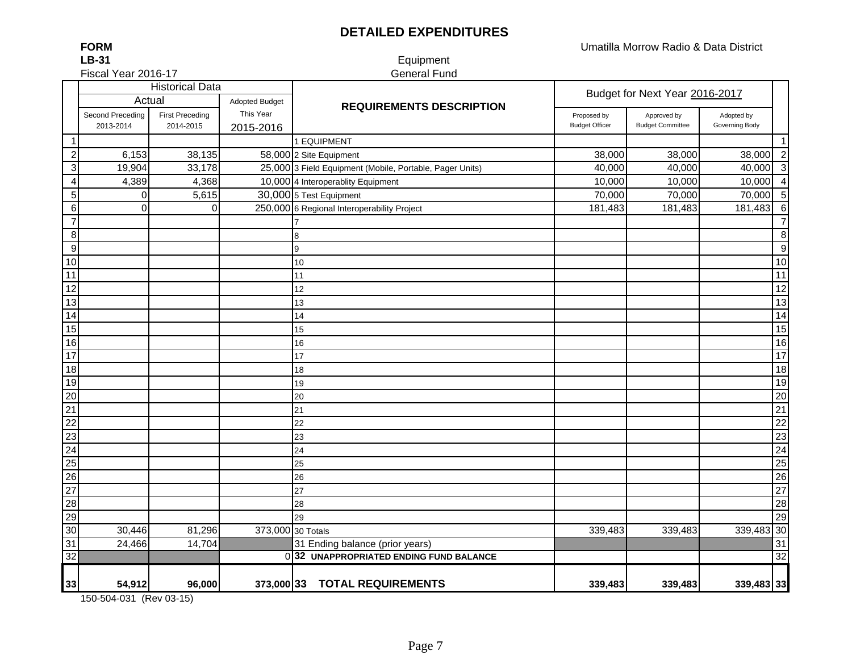## **DETAILED EXPENDITURES**

Umatilla Morrow Radio & Data District

**LB-31**Fiscal Year 2016-17

**FORM**

#### Equipment General Fund

|                  |                  | <b>Historical Data</b> |                       |                                                          |                            | Budget for Next Year 2016-2017 |                |                  |
|------------------|------------------|------------------------|-----------------------|----------------------------------------------------------|----------------------------|--------------------------------|----------------|------------------|
|                  | Actual           |                        | <b>Adopted Budget</b> | <b>REQUIREMENTS DESCRIPTION</b>                          | Proposed by<br>Approved by |                                |                |                  |
|                  | Second Preceding | <b>First Preceding</b> | This Year             |                                                          |                            |                                | Adopted by     |                  |
|                  | 2013-2014        | 2014-2015              | 2015-2016             |                                                          | <b>Budget Officer</b>      | <b>Budget Committee</b>        | Governing Body |                  |
| $\mathbf 1$      |                  |                        |                       | 1 EQUIPMENT                                              |                            |                                |                | $\mathbf{1}$     |
| $\overline{c}$   | 6,153            | 38,135                 |                       | 58,000 2 Site Equipment                                  | 38,000                     | 38,000                         | 38,000         | $\overline{2}$   |
| $\sqrt{3}$       | 19,904           | 33,178                 |                       | 25,000 3 Field Equipment (Mobile, Portable, Pager Units) | 40,000                     | 40,000                         | 40,000         | دى               |
| $\overline{4}$   | 4,389            | 4,368                  |                       | 10,000 4 Interoperablity Equipment                       | 10,000                     | 10,000                         | 10,000         | $\overline{4}$   |
| $\mathbf 5$      | 0                | 5,615                  |                       | 30,000 5 Test Equipment                                  | 70,000                     | 70,000                         | 70,000         | $\sqrt{5}$       |
| $\,6\,$          | $\mathbf 0$      | 0                      |                       | 250,000 6 Regional Interoperability Project              | 181,483                    | 181,483                        | 181,483        | $\overline{6}$   |
| $\overline{7}$   |                  |                        |                       |                                                          |                            |                                |                | $\overline{7}$   |
| $\bf 8$          |                  |                        |                       | 8                                                        |                            |                                |                | 8                |
| $\boldsymbol{9}$ |                  |                        |                       | 9                                                        |                            |                                |                | $\boldsymbol{9}$ |
| 10               |                  |                        |                       | 10                                                       |                            |                                |                | 10               |
| 11               |                  |                        |                       | 11                                                       |                            |                                |                | 11               |
| 12               |                  |                        |                       | 12                                                       |                            |                                |                | 12               |
| 13               |                  |                        |                       | 13                                                       |                            |                                |                | 13               |
| $\overline{14}$  |                  |                        |                       | 14                                                       |                            |                                |                | $\overline{14}$  |
| 15               |                  |                        |                       | 15                                                       |                            |                                |                | 15               |
| 16               |                  |                        |                       | 16                                                       |                            |                                |                | 16               |
| $\overline{17}$  |                  |                        |                       | 17                                                       |                            |                                |                | 17               |
| 18               |                  |                        |                       | 18                                                       |                            |                                |                | 18               |
| 19               |                  |                        |                       | 19                                                       |                            |                                |                | 19               |
| $\overline{20}$  |                  |                        |                       | 20                                                       |                            |                                |                | 20               |
| $\overline{21}$  |                  |                        |                       | 21                                                       |                            |                                |                | 21               |
| $\overline{22}$  |                  |                        |                       | 22                                                       |                            |                                |                | $\overline{22}$  |
| 23               |                  |                        |                       | 23                                                       |                            |                                |                | 23               |
| 24               |                  |                        |                       | 24                                                       |                            |                                |                | $\overline{24}$  |
| 25               |                  |                        |                       | 25                                                       |                            |                                |                | $\overline{25}$  |
| 26               |                  |                        |                       | 26                                                       |                            |                                |                | $\overline{26}$  |
| $\overline{27}$  |                  |                        |                       | 27                                                       |                            |                                |                | 27               |
| 28               |                  |                        |                       | 28                                                       |                            |                                |                | 28               |
| 29               |                  |                        |                       | 29                                                       |                            |                                |                | 29               |
| 30               | 30,446           | 81,296                 | 373,000 30 Totals     |                                                          | 339,483                    | 339,483                        | 339,483 30     |                  |
| 31               | 24,466           | 14,704                 |                       | 31 Ending balance (prior years)                          |                            |                                |                | 31               |
| $\overline{32}$  |                  |                        |                       | 032 UNAPPROPRIATED ENDING FUND BALANCE                   |                            |                                |                | 32               |
|                  |                  |                        |                       |                                                          |                            |                                |                |                  |
| 33               | 54,912           | 96,000                 |                       | 373,000 33 TOTAL REQUIREMENTS                            | 339,483                    | 339,483                        | 339,483 33     |                  |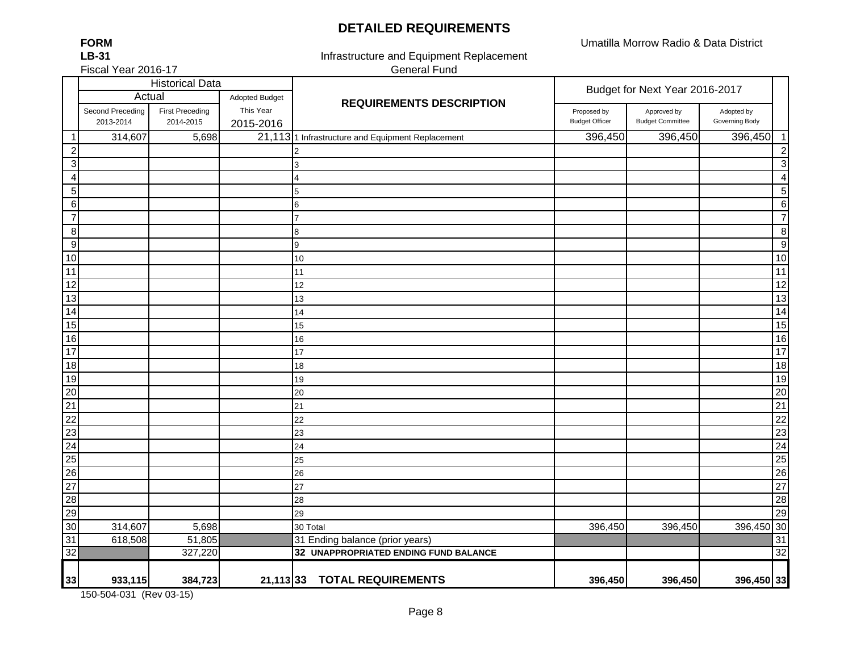#### **DETAILED REQUIREMENTS**

Umatilla Morrow Radio & Data District

| <b>FORM</b>         |
|---------------------|
| <b>LB-31</b>        |
| Fiscal Year 2016-17 |

Infrastructure and Equipment Replacement General Fund

|                  |                               | <b>Historical Data</b>              |                        |                                                   | Budget for Next Year 2016-2017       |                                        |                              |                 |
|------------------|-------------------------------|-------------------------------------|------------------------|---------------------------------------------------|--------------------------------------|----------------------------------------|------------------------------|-----------------|
|                  | Actual                        |                                     | Adopted Budget         | <b>REQUIREMENTS DESCRIPTION</b>                   |                                      |                                        |                              |                 |
|                  | Second Preceding<br>2013-2014 | <b>First Preceding</b><br>2014-2015 | This Year<br>2015-2016 |                                                   | Proposed by<br><b>Budget Officer</b> | Approved by<br><b>Budget Committee</b> | Adopted by<br>Governing Body |                 |
| $\mathbf{1}$     | 314,607                       | 5,698                               |                        | 21,113 1 Infrastructure and Equipment Replacement | 396,450                              | 396,450                                | 396,450                      | $\overline{1}$  |
| $\boldsymbol{2}$ |                               |                                     |                        |                                                   |                                      |                                        |                              | $\overline{c}$  |
| $\mathbf{3}$     |                               |                                     |                        | 3                                                 |                                      |                                        |                              | $\mathbf{3}$    |
| $\overline{4}$   |                               |                                     |                        | 4                                                 |                                      |                                        |                              | $\overline{4}$  |
| 5 <sup>1</sup>   |                               |                                     |                        | 5                                                 |                                      |                                        |                              | $\sqrt{5}$      |
| $6 \overline{6}$ |                               |                                     |                        | 6                                                 |                                      |                                        |                              | $6\phantom{1}6$ |
| $\overline{7}$   |                               |                                     |                        | 7                                                 |                                      |                                        |                              | $\overline{7}$  |
| $\boldsymbol{8}$ |                               |                                     |                        | 8                                                 |                                      |                                        |                              | 8               |
| $\overline{9}$   |                               |                                     |                        | 9                                                 |                                      |                                        |                              | 9               |
| 10               |                               |                                     |                        | 10                                                |                                      |                                        |                              | $10$            |
| 11               |                               |                                     |                        | 11                                                |                                      |                                        |                              | $\overline{11}$ |
| 12               |                               |                                     |                        | 12                                                |                                      |                                        |                              | $\overline{12}$ |
| 13               |                               |                                     |                        | 13                                                |                                      |                                        |                              | $\overline{13}$ |
| $\overline{14}$  |                               |                                     |                        | 14                                                |                                      |                                        |                              | 14              |
| 15               |                               |                                     |                        | 15                                                |                                      |                                        |                              | 15              |
| $\overline{16}$  |                               |                                     |                        | 16                                                |                                      |                                        |                              | 16              |
| 17               |                               |                                     |                        | 17                                                |                                      |                                        |                              | 17              |
| 18               |                               |                                     |                        | 18                                                |                                      |                                        |                              | 18              |
| 19               |                               |                                     |                        | 19                                                |                                      |                                        |                              | 19              |
| $\overline{20}$  |                               |                                     |                        | 20                                                |                                      |                                        |                              | 20              |
| $\overline{21}$  |                               |                                     |                        | 21                                                |                                      |                                        |                              | 21              |
| $\overline{22}$  |                               |                                     |                        | 22                                                |                                      |                                        |                              | $\overline{22}$ |
| 23               |                               |                                     |                        | 23                                                |                                      |                                        |                              | $\overline{23}$ |
| $\overline{24}$  |                               |                                     |                        | 24                                                |                                      |                                        |                              | $\overline{24}$ |
| 25               |                               |                                     |                        | 25                                                |                                      |                                        |                              | 25              |
| 26               |                               |                                     |                        | 26                                                |                                      |                                        |                              | 26              |
| $\overline{27}$  |                               |                                     |                        | 27                                                |                                      |                                        |                              | $\overline{27}$ |
| 28               |                               |                                     |                        | 28                                                |                                      |                                        |                              | 28              |
| $\overline{29}$  |                               |                                     |                        | 29                                                |                                      |                                        |                              | 29              |
| 30               | 314,607                       | 5,698                               |                        | 30 Total                                          | 396,450                              | 396,450                                | 396,450 30                   |                 |
| 31               | 618,508                       | 51,805                              |                        | 31 Ending balance (prior years)                   |                                      |                                        |                              | 31              |
| 32               |                               | 327,220                             |                        | 32 UNAPPROPRIATED ENDING FUND BALANCE             |                                      |                                        |                              | $\overline{32}$ |
| 33               | 933,115                       | 384,723                             | $21,113$ 33            | <b>TOTAL REQUIREMENTS</b>                         | 396,450                              | 396,450                                | 396,450 33                   |                 |